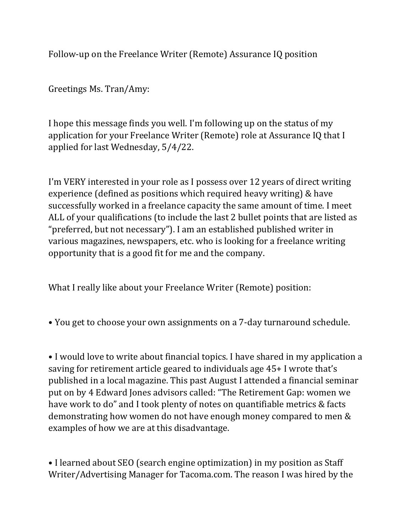Follow-up on the Freelance Writer (Remote) Assurance IQ position

Greetings Ms. Tran/Amy:

I hope this message finds you well. I'm following up on the status of my application for your Freelance Writer (Remote) role at Assurance IQ that I applied for last Wednesday, 5/4/22.

I'm VERY interested in your role as I possess over 12 years of direct writing experience (defined as positions which required heavy writing) & have successfully worked in a freelance capacity the same amount of time. I meet ALL of your qualifications (to include the last 2 bullet points that are listed as "preferred, but not necessary"). I am an established published writer in various magazines, newspapers, etc. who is looking for a freelance writing opportunity that is a good fit for me and the company.

What I really like about your Freelance Writer (Remote) position:

• You get to choose your own assignments on a 7-day turnaround schedule.

• I would love to write about financial topics. I have shared in my application a saving for retirement article geared to individuals age 45+ I wrote that's published in a local magazine. This past August I attended a financial seminar put on by 4 Edward Jones advisors called: "The Retirement Gap: women we have work to do" and I took plenty of notes on quantifiable metrics & facts demonstrating how women do not have enough money compared to men & examples of how we are at this disadvantage.

• I learned about SEO (search engine optimization) in my position as Staff Writer/Advertising Manager for Tacoma.com. The reason I was hired by the